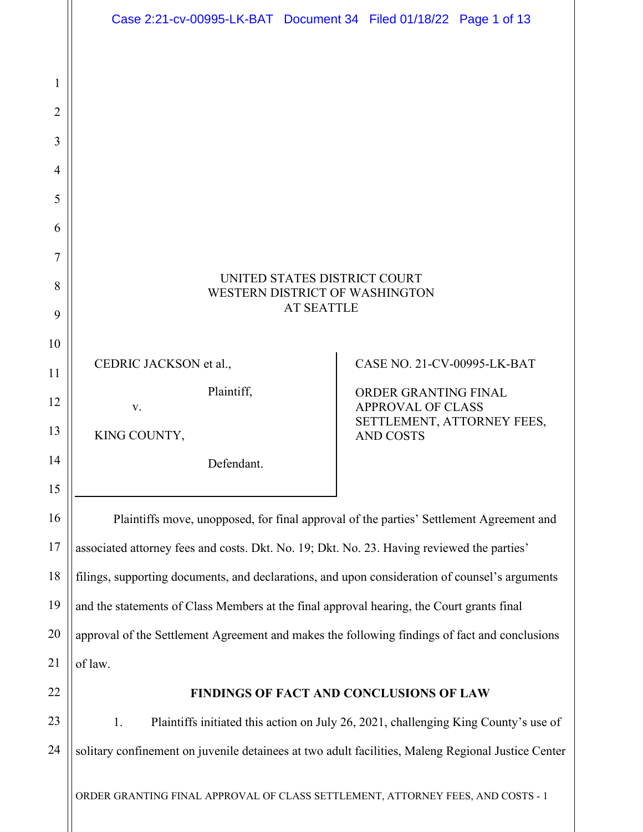|                | Case 2:21-cv-00995-LK-BAT Document 34 Filed 01/18/22 Page 1 of 13                                  |                                                                                     |  |
|----------------|----------------------------------------------------------------------------------------------------|-------------------------------------------------------------------------------------|--|
|                |                                                                                                    |                                                                                     |  |
| 1              |                                                                                                    |                                                                                     |  |
| $\overline{2}$ |                                                                                                    |                                                                                     |  |
| 3              |                                                                                                    |                                                                                     |  |
| $\overline{4}$ |                                                                                                    |                                                                                     |  |
| 5              |                                                                                                    |                                                                                     |  |
| 6              |                                                                                                    |                                                                                     |  |
| 7              |                                                                                                    |                                                                                     |  |
| 8              | UNITED STATES DISTRICT COURT<br>WESTERN DISTRICT OF WASHINGTON                                     |                                                                                     |  |
| 9              | <b>AT SEATTLE</b>                                                                                  |                                                                                     |  |
| 10             |                                                                                                    |                                                                                     |  |
| 11             | CEDRIC JACKSON et al.,                                                                             | CASE NO. 21-CV-00995-LK-BAT                                                         |  |
| 12             | Plaintiff,<br>V.                                                                                   | ORDER GRANTING FINAL<br><b>APPROVAL OF CLASS</b>                                    |  |
| 13             | KING COUNTY,                                                                                       | SETTLEMENT, ATTORNEY FEES,<br><b>AND COSTS</b>                                      |  |
| 14             | Defendant.                                                                                         |                                                                                     |  |
| 15             |                                                                                                    |                                                                                     |  |
| 16             | Plaintiffs move, unopposed, for final approval of the parties' Settlement Agreement and            |                                                                                     |  |
| 17             | associated attorney fees and costs. Dkt. No. 19; Dkt. No. 23. Having reviewed the parties'         |                                                                                     |  |
| 18             | filings, supporting documents, and declarations, and upon consideration of counsel's arguments     |                                                                                     |  |
| 19             | and the statements of Class Members at the final approval hearing, the Court grants final          |                                                                                     |  |
| 20             | approval of the Settlement Agreement and makes the following findings of fact and conclusions      |                                                                                     |  |
| 21             | of law.                                                                                            |                                                                                     |  |
| 22             |                                                                                                    | FINDINGS OF FACT AND CONCLUSIONS OF LAW                                             |  |
| 23             | 1.                                                                                                 | Plaintiffs initiated this action on July 26, 2021, challenging King County's use of |  |
| 24             | solitary confinement on juvenile detainees at two adult facilities, Maleng Regional Justice Center |                                                                                     |  |
|                | ORDER GRANTING FINAL APPROVAL OF CLASS SETTLEMENT, ATTORNEY FEES, AND COSTS - 1                    |                                                                                     |  |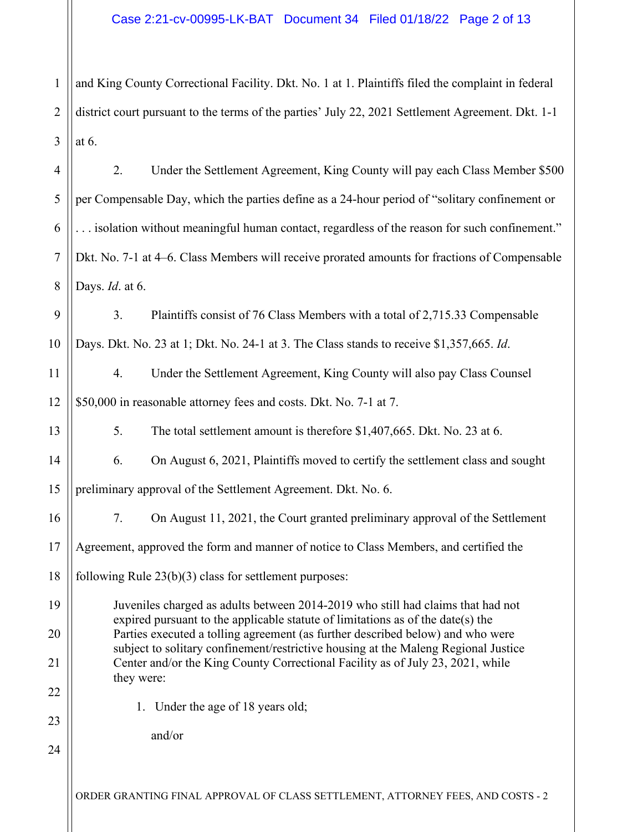1 2 3 and King County Correctional Facility. Dkt. No. 1 at 1. Plaintiffs filed the complaint in federal district court pursuant to the terms of the parties' July 22, 2021 Settlement Agreement. Dkt. 1-1 at 6.

4 5 6 7 8 2. Under the Settlement Agreement, King County will pay each Class Member \$500 per Compensable Day, which the parties define as a 24-hour period of "solitary confinement or . . . isolation without meaningful human contact, regardless of the reason for such confinement." Dkt. No. 7-1 at 4–6. Class Members will receive prorated amounts for fractions of Compensable Days. *Id*. at 6.

9 10 3. Plaintiffs consist of 76 Class Members with a total of 2,715.33 Compensable Days. Dkt. No. 23 at 1; Dkt. No. 24-1 at 3. The Class stands to receive \$1,357,665. *Id*.

11 12 4. Under the Settlement Agreement, King County will also pay Class Counsel \$50,000 in reasonable attorney fees and costs. Dkt. No. 7-1 at 7.

5. The total settlement amount is therefore \$1,407,665. Dkt. No. 23 at 6.

14 6. On August 6, 2021, Plaintiffs moved to certify the settlement class and sought

15 preliminary approval of the Settlement Agreement. Dkt. No. 6.

16 17 18 7. On August 11, 2021, the Court granted preliminary approval of the Settlement Agreement, approved the form and manner of notice to Class Members, and certified the

following Rule 23(b)(3) class for settlement purposes:

19 20 21 Juveniles charged as adults between 2014-2019 who still had claims that had not expired pursuant to the applicable statute of limitations as of the date(s) the Parties executed a tolling agreement (as further described below) and who were subject to solitary confinement/restrictive housing at the Maleng Regional Justice Center and/or the King County Correctional Facility as of July 23, 2021, while they were:

1. Under the age of 18 years old;

and/or

13

22

23

24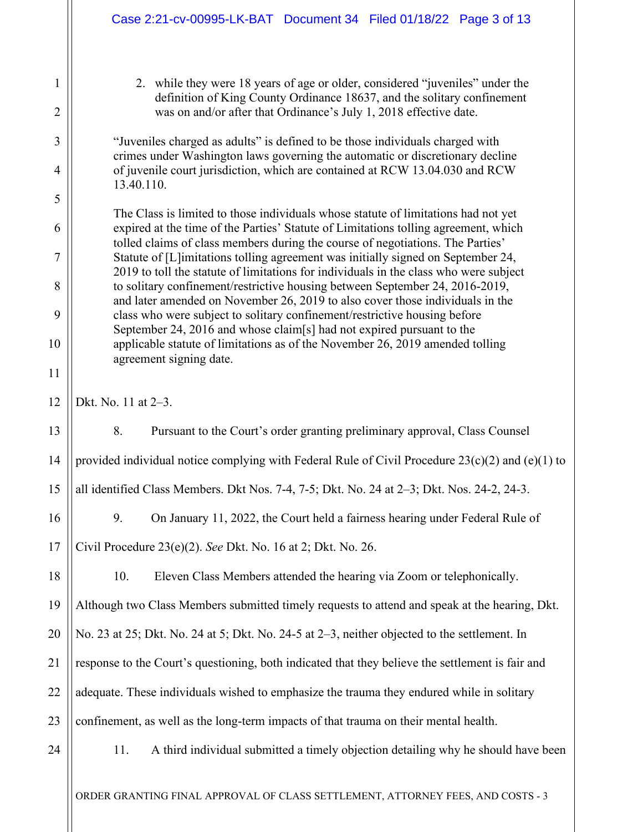|                     | Case 2:21-cv-00995-LK-BAT Document 34 Filed 01/18/22 Page 3 of 13                                                                                                                                                                                         |  |
|---------------------|-----------------------------------------------------------------------------------------------------------------------------------------------------------------------------------------------------------------------------------------------------------|--|
| 1<br>$\overline{2}$ | 2. while they were 18 years of age or older, considered "juveniles" under the<br>definition of King County Ordinance 18637, and the solitary confinement<br>was on and/or after that Ordinance's July 1, 2018 effective date.                             |  |
| 3                   | "Juveniles charged as adults" is defined to be those individuals charged with<br>crimes under Washington laws governing the automatic or discretionary decline                                                                                            |  |
| $\overline{4}$      | of juvenile court jurisdiction, which are contained at RCW 13.04.030 and RCW<br>13.40.110.                                                                                                                                                                |  |
| 5<br>6              | The Class is limited to those individuals whose statute of limitations had not yet                                                                                                                                                                        |  |
| 7                   | expired at the time of the Parties' Statute of Limitations tolling agreement, which<br>tolled claims of class members during the course of negotiations. The Parties'<br>Statute of [L]imitations tolling agreement was initially signed on September 24, |  |
| 8                   | 2019 to toll the statute of limitations for individuals in the class who were subject<br>to solitary confinement/restrictive housing between September 24, 2016-2019,                                                                                     |  |
| 9                   | and later amended on November 26, 2019 to also cover those individuals in the<br>class who were subject to solitary confinement/restrictive housing before                                                                                                |  |
| 10                  | September 24, 2016 and whose claim[s] had not expired pursuant to the<br>applicable statute of limitations as of the November 26, 2019 amended tolling<br>agreement signing date.                                                                         |  |
| 11                  |                                                                                                                                                                                                                                                           |  |
| 12                  | Dkt. No. 11 at 2-3.                                                                                                                                                                                                                                       |  |
| 13                  | 8.<br>Pursuant to the Court's order granting preliminary approval, Class Counsel                                                                                                                                                                          |  |
| 14                  | provided individual notice complying with Federal Rule of Civil Procedure $23(c)(2)$ and (e)(1) to                                                                                                                                                        |  |
| 15                  | all identified Class Members. Dkt Nos. 7-4, 7-5; Dkt. No. 24 at 2-3; Dkt. Nos. 24-2, 24-3.                                                                                                                                                                |  |
| 16                  | 9.<br>On January 11, 2022, the Court held a fairness hearing under Federal Rule of                                                                                                                                                                        |  |
| 17                  | Civil Procedure 23(e)(2). See Dkt. No. 16 at 2; Dkt. No. 26.                                                                                                                                                                                              |  |
| 18                  | 10.<br>Eleven Class Members attended the hearing via Zoom or telephonically.                                                                                                                                                                              |  |
|                     |                                                                                                                                                                                                                                                           |  |
|                     | Although two Class Members submitted timely requests to attend and speak at the hearing, Dkt.                                                                                                                                                             |  |
|                     | No. 23 at 25; Dkt. No. 24 at 5; Dkt. No. 24-5 at 2-3, neither objected to the settlement. In                                                                                                                                                              |  |
| 19<br>20<br>21      | response to the Court's questioning, both indicated that they believe the settlement is fair and                                                                                                                                                          |  |
|                     | adequate. These individuals wished to emphasize the trauma they endured while in solitary                                                                                                                                                                 |  |
| 22<br>23            | confinement, as well as the long-term impacts of that trauma on their mental health.                                                                                                                                                                      |  |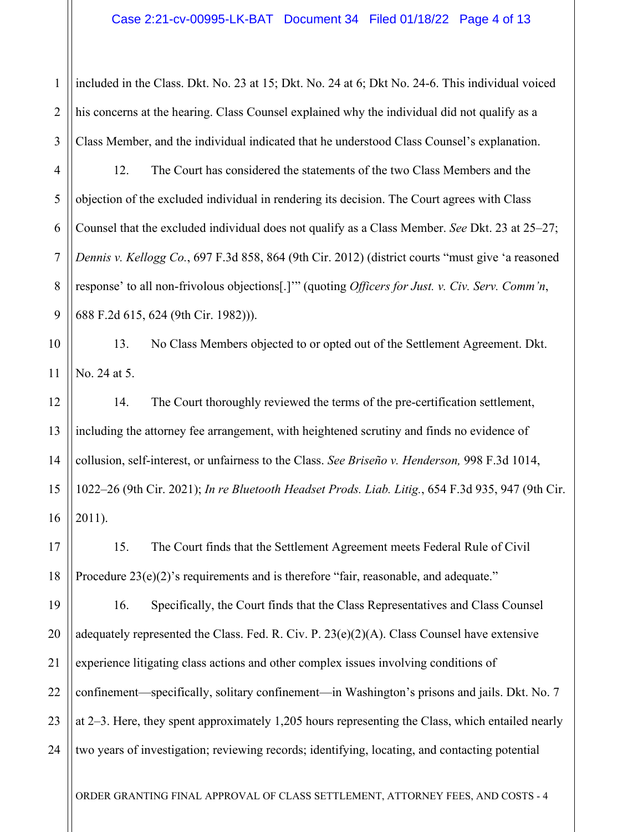1 2 3 included in the Class. Dkt. No. 23 at 15; Dkt. No. 24 at 6; Dkt No. 24-6. This individual voiced his concerns at the hearing. Class Counsel explained why the individual did not qualify as a Class Member, and the individual indicated that he understood Class Counsel's explanation.

4 5 12. The Court has considered the statements of the two Class Members and the objection of the excluded individual in rendering its decision. The Court agrees with Class Counsel that the excluded individual does not qualify as a Class Member. *See* Dkt. 23 at 25–27; *Dennis v. Kellogg Co.*, 697 F.3d 858, 864 (9th Cir. 2012) (district courts "must give 'a reasoned response' to all non-frivolous objections[.]'" (quoting *Officers for Just. v. Civ. Serv. Comm'n*, 688 F.2d 615, 624 (9th Cir. 1982))).

13. No Class Members objected to or opted out of the Settlement Agreement. Dkt. No. 24 at 5.

14. The Court thoroughly reviewed the terms of the pre-certification settlement, including the attorney fee arrangement, with heightened scrutiny and finds no evidence of collusion, self-interest, or unfairness to the Class. *See Briseño v. Henderson,* 998 F.3d 1014, 1022–26 (9th Cir. 2021); *In re Bluetooth Headset Prods. Liab. Litig.*, 654 F.3d 935, 947 (9th Cir. 2011).

15. The Court finds that the Settlement Agreement meets Federal Rule of Civil Procedure 23(e)(2)'s requirements and is therefore "fair, reasonable, and adequate."

24 16. Specifically, the Court finds that the Class Representatives and Class Counsel adequately represented the Class. Fed. R. Civ. P.  $23(e)(2)(A)$ . Class Counsel have extensive experience litigating class actions and other complex issues involving conditions of confinement—specifically, solitary confinement—in Washington's prisons and jails. Dkt. No. 7 at 2–3. Here, they spent approximately 1,205 hours representing the Class, which entailed nearly two years of investigation; reviewing records; identifying, locating, and contacting potential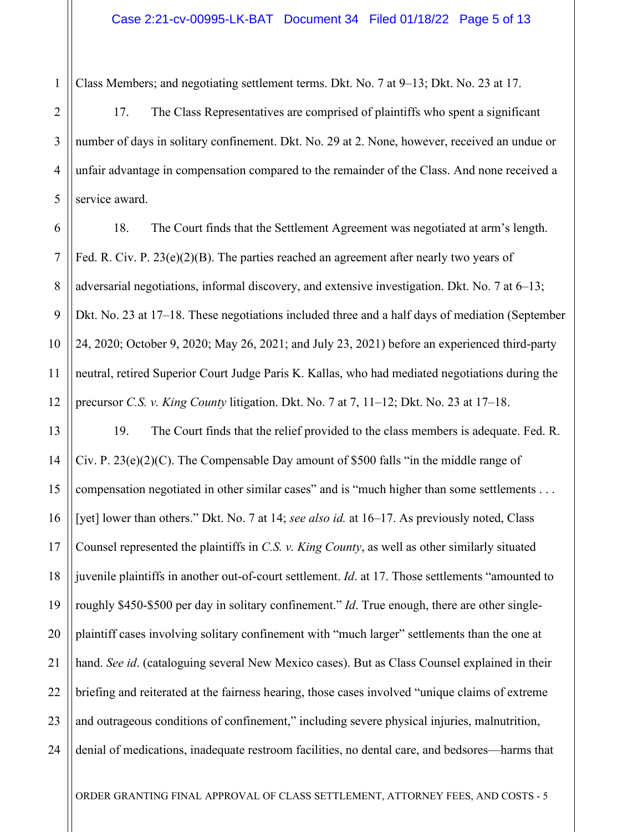Class Members; and negotiating settlement terms. Dkt. No. 7 at 9–13; Dkt. No. 23 at 17.

17. The Class Representatives are comprised of plaintiffs who spent a significant number of days in solitary confinement. Dkt. No. 29 at 2. None, however, received an undue or unfair advantage in compensation compared to the remainder of the Class. And none received a service award.

6 7 8 9 10 11 12 18. The Court finds that the Settlement Agreement was negotiated at arm's length. Fed. R. Civ. P.  $23(e)(2)(B)$ . The parties reached an agreement after nearly two years of adversarial negotiations, informal discovery, and extensive investigation. Dkt. No. 7 at 6–13; Dkt. No. 23 at 17–18. These negotiations included three and a half days of mediation (September 24, 2020; October 9, 2020; May 26, 2021; and July 23, 2021) before an experienced third-party neutral, retired Superior Court Judge Paris K. Kallas, who had mediated negotiations during the precursor *C.S. v. King County* litigation. Dkt. No. 7 at 7, 11–12; Dkt. No. 23 at 17–18.

13 14 15 16 17 18 19 20 21 22 23 24 19. The Court finds that the relief provided to the class members is adequate. Fed. R. Civ. P.  $23(e)(2)(C)$ . The Compensable Day amount of \$500 falls "in the middle range of compensation negotiated in other similar cases" and is "much higher than some settlements . . . [yet] lower than others." Dkt. No. 7 at 14; *see also id.* at 16–17. As previously noted, Class Counsel represented the plaintiffs in *C.S. v. King County*, as well as other similarly situated juvenile plaintiffs in another out-of-court settlement. *Id*. at 17. Those settlements "amounted to roughly \$450-\$500 per day in solitary confinement." *Id*. True enough, there are other singleplaintiff cases involving solitary confinement with "much larger" settlements than the one at hand. *See id*. (cataloguing several New Mexico cases). But as Class Counsel explained in their briefing and reiterated at the fairness hearing, those cases involved "unique claims of extreme and outrageous conditions of confinement," including severe physical injuries, malnutrition, denial of medications, inadequate restroom facilities, no dental care, and bedsores—harms that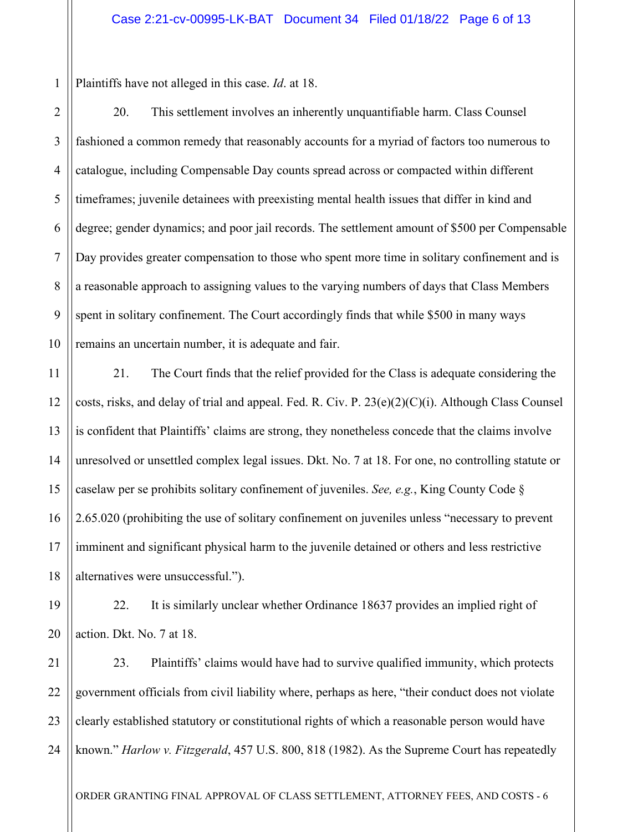1 Plaintiffs have not alleged in this case. *Id*. at 18.

19

20

2 3 4 5 6 7 8 9 10 20. This settlement involves an inherently unquantifiable harm. Class Counsel fashioned a common remedy that reasonably accounts for a myriad of factors too numerous to catalogue, including Compensable Day counts spread across or compacted within different timeframes; juvenile detainees with preexisting mental health issues that differ in kind and degree; gender dynamics; and poor jail records. The settlement amount of \$500 per Compensable Day provides greater compensation to those who spent more time in solitary confinement and is a reasonable approach to assigning values to the varying numbers of days that Class Members spent in solitary confinement. The Court accordingly finds that while \$500 in many ways remains an uncertain number, it is adequate and fair.

11 12 13 14 15 16 17 18 21. The Court finds that the relief provided for the Class is adequate considering the costs, risks, and delay of trial and appeal. Fed. R. Civ. P. 23(e)(2)(C)(i). Although Class Counsel is confident that Plaintiffs' claims are strong, they nonetheless concede that the claims involve unresolved or unsettled complex legal issues. Dkt. No. 7 at 18. For one, no controlling statute or caselaw per se prohibits solitary confinement of juveniles. *See, e.g.*, King County Code § 2.65.020 (prohibiting the use of solitary confinement on juveniles unless "necessary to prevent imminent and significant physical harm to the juvenile detained or others and less restrictive alternatives were unsuccessful.").

22. It is similarly unclear whether Ordinance 18637 provides an implied right of action. Dkt. No. 7 at 18.

21 22 23 24 23. Plaintiffs' claims would have had to survive qualified immunity, which protects government officials from civil liability where, perhaps as here, "their conduct does not violate clearly established statutory or constitutional rights of which a reasonable person would have known." *Harlow v. Fitzgerald*, 457 U.S. 800, 818 (1982). As the Supreme Court has repeatedly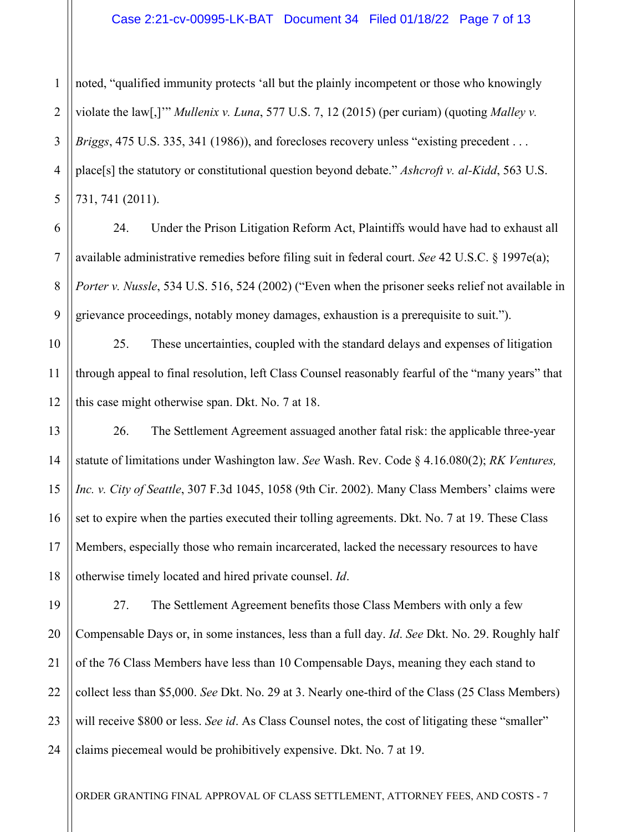## Case 2:21-cv-00995-LK-BAT Document 34 Filed 01/18/22 Page 7 of 13

1 2 3 4 noted, "qualified immunity protects 'all but the plainly incompetent or those who knowingly violate the law[,]'" *Mullenix v. Luna*, 577 U.S. 7, 12 (2015) (per curiam) (quoting *Malley v. Briggs*, 475 U.S. 335, 341 (1986)), and forecloses recovery unless "existing precedent . . . place[s] the statutory or constitutional question beyond debate." *Ashcroft v. al-Kidd*, 563 U.S. 731, 741 (2011).

24. Under the Prison Litigation Reform Act, Plaintiffs would have had to exhaust all available administrative remedies before filing suit in federal court. *See* 42 U.S.C. § 1997e(a); *Porter v. Nussle*, 534 U.S. 516, 524 (2002) ("Even when the prisoner seeks relief not available in grievance proceedings, notably money damages, exhaustion is a prerequisite to suit.").

25. These uncertainties, coupled with the standard delays and expenses of litigation through appeal to final resolution, left Class Counsel reasonably fearful of the "many years" that this case might otherwise span. Dkt. No. 7 at 18.

26. The Settlement Agreement assuaged another fatal risk: the applicable three-year statute of limitations under Washington law. *See* Wash. Rev. Code § 4.16.080(2); *RK Ventures, Inc. v. City of Seattle*, 307 F.3d 1045, 1058 (9th Cir. 2002). Many Class Members' claims were set to expire when the parties executed their tolling agreements. Dkt. No. 7 at 19. These Class Members, especially those who remain incarcerated, lacked the necessary resources to have otherwise timely located and hired private counsel. *Id*.

24 27. The Settlement Agreement benefits those Class Members with only a few Compensable Days or, in some instances, less than a full day. *Id*. *See* Dkt. No. 29. Roughly half of the 76 Class Members have less than 10 Compensable Days, meaning they each stand to collect less than \$5,000. *See* Dkt. No. 29 at 3. Nearly one-third of the Class (25 Class Members) will receive \$800 or less. *See id*. As Class Counsel notes, the cost of litigating these "smaller" claims piecemeal would be prohibitively expensive. Dkt. No. 7 at 19.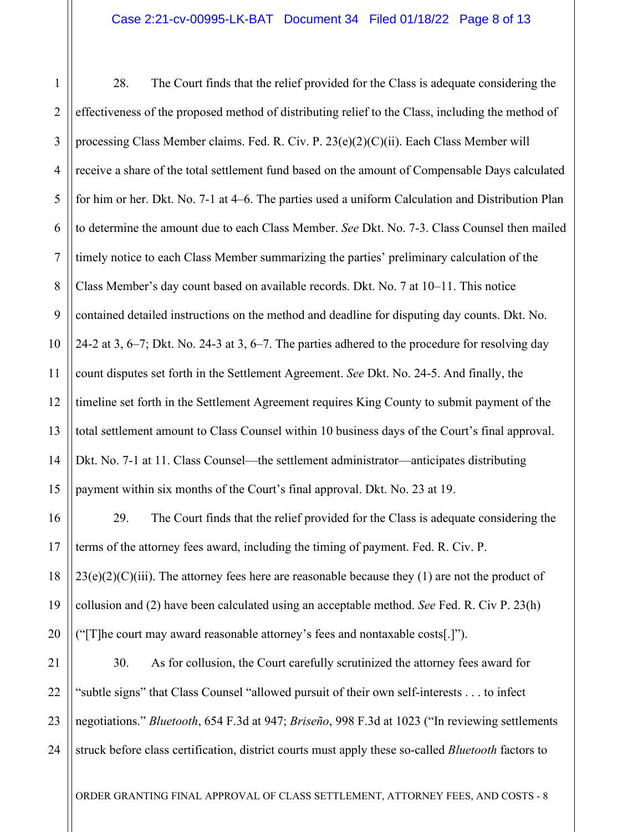1 2 3 4 5 6 7 8 9 10 11 12 13 14 15 28. The Court finds that the relief provided for the Class is adequate considering the effectiveness of the proposed method of distributing relief to the Class, including the method of processing Class Member claims. Fed. R. Civ. P. 23(e)(2)(C)(ii). Each Class Member will receive a share of the total settlement fund based on the amount of Compensable Days calculated for him or her. Dkt. No. 7-1 at 4–6. The parties used a uniform Calculation and Distribution Plan to determine the amount due to each Class Member. *See* Dkt. No. 7-3. Class Counsel then mailed timely notice to each Class Member summarizing the parties' preliminary calculation of the Class Member's day count based on available records. Dkt. No. 7 at 10–11. This notice contained detailed instructions on the method and deadline for disputing day counts. Dkt. No. 24-2 at 3, 6–7; Dkt. No. 24-3 at 3, 6–7. The parties adhered to the procedure for resolving day count disputes set forth in the Settlement Agreement. *See* Dkt. No. 24-5. And finally, the timeline set forth in the Settlement Agreement requires King County to submit payment of the total settlement amount to Class Counsel within 10 business days of the Court's final approval. Dkt. No. 7-1 at 11. Class Counsel—the settlement administrator—anticipates distributing payment within six months of the Court's final approval. Dkt. No. 23 at 19.

16 17 18 19 20 29. The Court finds that the relief provided for the Class is adequate considering the terms of the attorney fees award, including the timing of payment. Fed. R. Civ. P.  $23(e)(2)(C)(iii)$ . The attorney fees here are reasonable because they (1) are not the product of collusion and (2) have been calculated using an acceptable method. *See* Fed. R. Civ P. 23(h) ("[T]he court may award reasonable attorney's fees and nontaxable costs[.]").

21 22 23 24 30. As for collusion, the Court carefully scrutinized the attorney fees award for "subtle signs" that Class Counsel "allowed pursuit of their own self-interests . . . to infect negotiations." *Bluetooth*, 654 F.3d at 947; *Briseño*, 998 F.3d at 1023 ("In reviewing settlements struck before class certification, district courts must apply these so-called *Bluetooth* factors to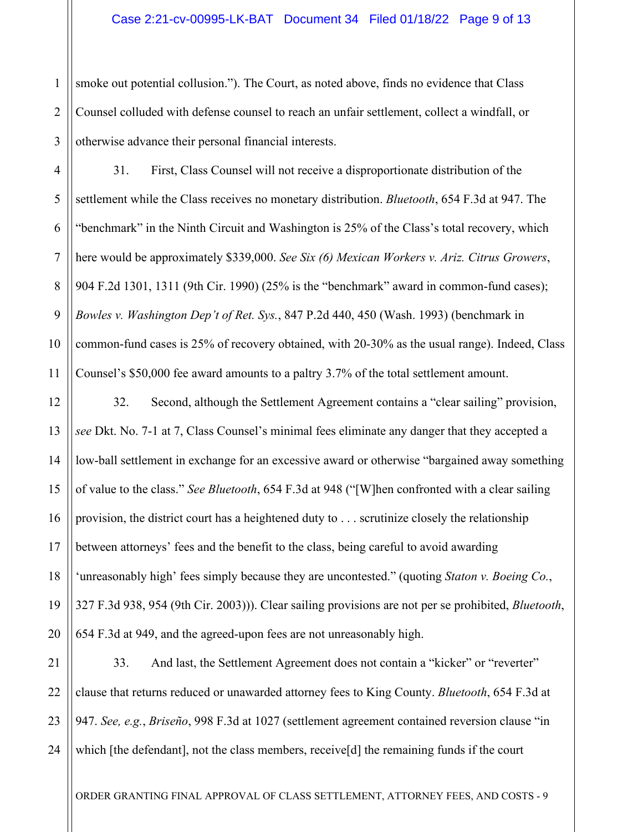1 2 3 smoke out potential collusion."). The Court, as noted above, finds no evidence that Class Counsel colluded with defense counsel to reach an unfair settlement, collect a windfall, or otherwise advance their personal financial interests.

4 5 6 7 8 9 10 11 31. First, Class Counsel will not receive a disproportionate distribution of the settlement while the Class receives no monetary distribution. *Bluetooth*, 654 F.3d at 947. The "benchmark" in the Ninth Circuit and Washington is 25% of the Class's total recovery, which here would be approximately \$339,000. *See Six (6) Mexican Workers v. Ariz. Citrus Growers*, 904 F.2d 1301, 1311 (9th Cir. 1990) (25% is the "benchmark" award in common-fund cases); *Bowles v. Washington Dep't of Ret. Sys.*, 847 P.2d 440, 450 (Wash. 1993) (benchmark in common-fund cases is 25% of recovery obtained, with 20-30% as the usual range). Indeed, Class Counsel's \$50,000 fee award amounts to a paltry 3.7% of the total settlement amount.

12 13 14 15 16 17 18 19 20 32. Second, although the Settlement Agreement contains a "clear sailing" provision, *see* Dkt. No. 7-1 at 7, Class Counsel's minimal fees eliminate any danger that they accepted a low-ball settlement in exchange for an excessive award or otherwise "bargained away something of value to the class." *See Bluetooth*, 654 F.3d at 948 ("[W]hen confronted with a clear sailing provision, the district court has a heightened duty to . . . scrutinize closely the relationship between attorneys' fees and the benefit to the class, being careful to avoid awarding 'unreasonably high' fees simply because they are uncontested." (quoting *Staton v. Boeing Co.*, 327 F.3d 938, 954 (9th Cir. 2003))). Clear sailing provisions are not per se prohibited, *Bluetooth*, 654 F.3d at 949, and the agreed-upon fees are not unreasonably high.

21 22 23 24 33. And last, the Settlement Agreement does not contain a "kicker" or "reverter" clause that returns reduced or unawarded attorney fees to King County. *Bluetooth*, 654 F.3d at 947. *See, e.g.*, *Briseño*, 998 F.3d at 1027 (settlement agreement contained reversion clause "in which [the defendant], not the class members, receive[d] the remaining funds if the court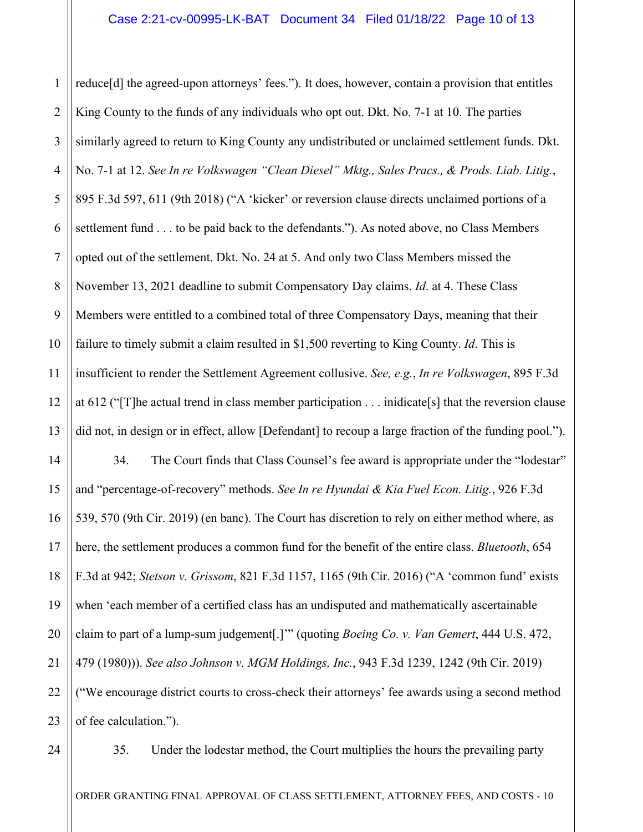1 2 3 4 5 6 7 8 9 10 11 12 13 14 15 16 17 18 19 20 21 22 reduce[d] the agreed-upon attorneys' fees."). It does, however, contain a provision that entitles King County to the funds of any individuals who opt out. Dkt. No. 7-1 at 10. The parties similarly agreed to return to King County any undistributed or unclaimed settlement funds. Dkt. No. 7-1 at 12. *See In re Volkswagen "Clean Diesel" Mktg., Sales Pracs., & Prods. Liab. Litig.*, 895 F.3d 597, 611 (9th 2018) ("A 'kicker' or reversion clause directs unclaimed portions of a settlement fund . . . to be paid back to the defendants."). As noted above, no Class Members opted out of the settlement. Dkt. No. 24 at 5. And only two Class Members missed the November 13, 2021 deadline to submit Compensatory Day claims. *Id*. at 4. These Class Members were entitled to a combined total of three Compensatory Days, meaning that their failure to timely submit a claim resulted in \$1,500 reverting to King County. *Id*. This is insufficient to render the Settlement Agreement collusive. *See, e.g.*, *In re Volkswagen*, 895 F.3d at 612 ("[T]he actual trend in class member participation . . . inidicate[s] that the reversion clause did not, in design or in effect, allow [Defendant] to recoup a large fraction of the funding pool."). 34. The Court finds that Class Counsel's fee award is appropriate under the "lodestar" and "percentage-of-recovery" methods. *See In re Hyundai & Kia Fuel Econ. Litig.*, 926 F.3d 539, 570 (9th Cir. 2019) (en banc). The Court has discretion to rely on either method where, as here, the settlement produces a common fund for the benefit of the entire class. *Bluetooth*, 654 F.3d at 942; *Stetson v. Grissom*, 821 F.3d 1157, 1165 (9th Cir. 2016) ("A 'common fund' exists when 'each member of a certified class has an undisputed and mathematically ascertainable claim to part of a lump-sum judgement[.]'" (quoting *Boeing Co. v. Van Gemert*, 444 U.S. 472, 479 (1980))). *See also Johnson v. MGM Holdings, Inc.*, 943 F.3d 1239, 1242 (9th Cir. 2019) ("We encourage district courts to cross-check their attorneys' fee awards using a second method

of fee calculation.").

24

23

35. Under the lodestar method, the Court multiplies the hours the prevailing party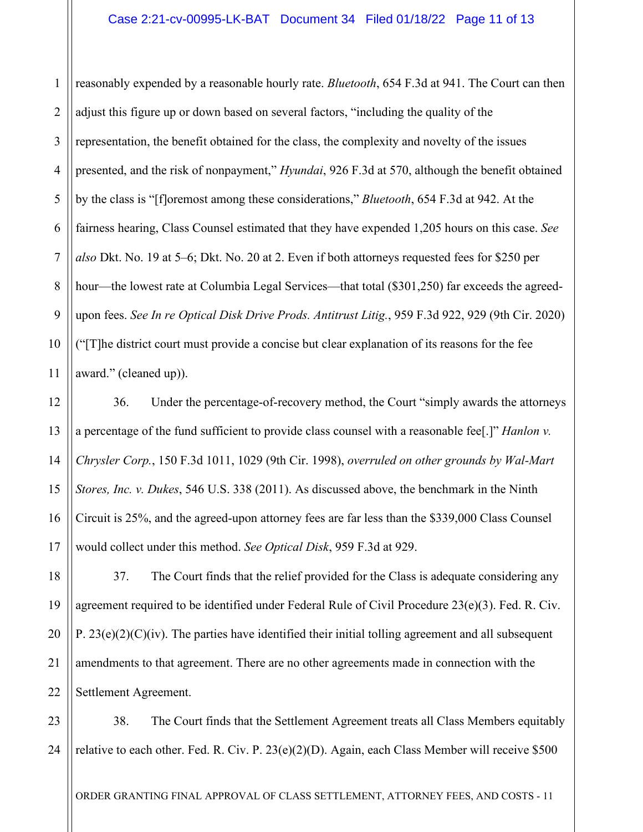1 2 3 4 5 6 7 8 9 10 reasonably expended by a reasonable hourly rate. *Bluetooth*, 654 F.3d at 941. The Court can then adjust this figure up or down based on several factors, "including the quality of the representation, the benefit obtained for the class, the complexity and novelty of the issues presented, and the risk of nonpayment," *Hyundai*, 926 F.3d at 570, although the benefit obtained by the class is "[f]oremost among these considerations," *Bluetooth*, 654 F.3d at 942. At the fairness hearing, Class Counsel estimated that they have expended 1,205 hours on this case. *See also* Dkt. No. 19 at 5–6; Dkt. No. 20 at 2. Even if both attorneys requested fees for \$250 per hour—the lowest rate at Columbia Legal Services—that total (\$301,250) far exceeds the agreedupon fees. *See In re Optical Disk Drive Prods. Antitrust Litig.*, 959 F.3d 922, 929 (9th Cir. 2020) ("[T]he district court must provide a concise but clear explanation of its reasons for the fee award." (cleaned up)).

36. Under the percentage-of-recovery method, the Court "simply awards the attorneys a percentage of the fund sufficient to provide class counsel with a reasonable fee[.]" *Hanlon v. Chrysler Corp.*, 150 F.3d 1011, 1029 (9th Cir. 1998), *overruled on other grounds by Wal-Mart Stores, Inc. v. Dukes*, 546 U.S. 338 (2011). As discussed above, the benchmark in the Ninth Circuit is 25%, and the agreed-upon attorney fees are far less than the \$339,000 Class Counsel would collect under this method. *See Optical Disk*, 959 F.3d at 929.

37. The Court finds that the relief provided for the Class is adequate considering any agreement required to be identified under Federal Rule of Civil Procedure 23(e)(3). Fed. R. Civ. P.  $23(e)(2)(C)(iv)$ . The parties have identified their initial tolling agreement and all subsequent amendments to that agreement. There are no other agreements made in connection with the Settlement Agreement.

23 24 38. The Court finds that the Settlement Agreement treats all Class Members equitably relative to each other. Fed. R. Civ. P. 23(e)(2)(D). Again, each Class Member will receive \$500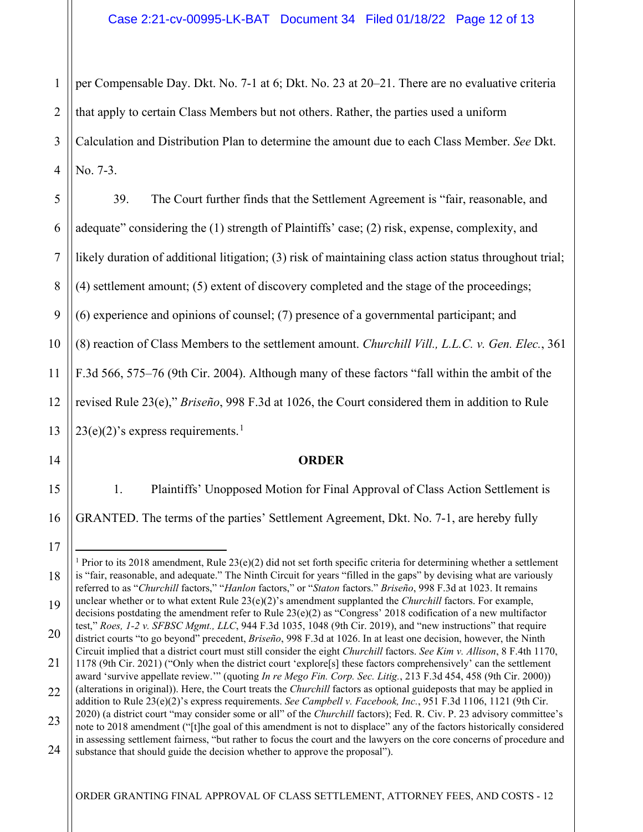1 2 3 4 per Compensable Day. Dkt. No. 7-1 at 6; Dkt. No. 23 at 20–21. There are no evaluative criteria that apply to certain Class Members but not others. Rather, the parties used a uniform Calculation and Distribution Plan to determine the amount due to each Class Member. *See* Dkt. No. 7-3.

| 5              | 39.<br>The Court further finds that the Settlement Agreement is "fair, reasonable, and                      |
|----------------|-------------------------------------------------------------------------------------------------------------|
| 6              | adequate" considering the (1) strength of Plaintiffs' case; (2) risk, expense, complexity, and              |
|                | likely duration of additional litigation; (3) risk of maintaining class action status throughout trial;     |
| 8              | (4) settlement amount; (5) extent of discovery completed and the stage of the proceedings;                  |
| $\overline{9}$ | $(6)$ experience and opinions of counsel; (7) presence of a governmental participant; and                   |
| $10-1$         | $\ $ (8) reaction of Class Members to the settlement amount. Churchill Vill., L.L.C. v. Gen. Elec., 361     |
|                | 11 $\left\ $ F.3d 566, 575–76 (9th Cir. 2004). Although many of these factors "fall within the ambit of the |
| 12             | revised Rule 23(e)," Briseño, 998 F.3d at 1026, the Court considered them in addition to Rule               |
|                | 13 $\left\  23(e)(2)$ 's express requirements. <sup>1</sup><br>14 $\left\  \right\ $                        |
|                | <b>ORDER</b>                                                                                                |

1. Plaintiffs' Unopposed Motion for Final Approval of Class Action Settlement is GRANTED. The terms of the parties' Settlement Agreement, Dkt. No. 7-1, are hereby fully

15

16

17

<span id="page-11-0"></span><sup>18</sup> 19 20 <sup>1</sup> Prior to its 2018 amendment, Rule 23(e)(2) did not set forth specific criteria for determining whether a settlement is "fair, reasonable, and adequate." The Ninth Circuit for years "filled in the gaps" by devising what are variously referred to as "*Churchill* factors," "*Hanlon* factors," or "*Staton* factors." *Briseño*, 998 F.3d at 1023. It remains unclear whether or to what extent Rule 23(e)(2)'s amendment supplanted the *Churchill* factors. For example, decisions postdating the amendment refer to Rule 23(e)(2) as "Congress' 2018 codification of a new multifactor test," *Roes, 1-2 v. SFBSC Mgmt., LLC*, 944 F.3d 1035, 1048 (9th Cir. 2019), and "new instructions" that require district courts "to go beyond" precedent, *Briseño*, 998 F.3d at 1026. In at least one decision, however, the Ninth

<sup>21</sup> Circuit implied that a district court must still consider the eight *Churchill* factors. *See Kim v. Allison*, 8 F.4th 1170, 1178 (9th Cir. 2021) ("Only when the district court 'explore[s] these factors comprehensively' can the settlement

<sup>22</sup> award 'survive appellate review.'" (quoting *In re Mego Fin. Corp. Sec. Litig.*, 213 F.3d 454, 458 (9th Cir. 2000)) (alterations in original)). Here, the Court treats the *Churchill* factors as optional guideposts that may be applied in addition to Rule 23(e)(2)'s express requirements. *See Campbell v. Facebook, Inc.*, 951 F.3d 1106, 1121 (9th Cir. 2020) (a district court "may consider some or all" of the *Churchill* factors); Fed. R. Civ. P. 23 advisory committee's

<sup>23</sup> 24 note to 2018 amendment ("[t]he goal of this amendment is not to displace" any of the factors historically considered in assessing settlement fairness, "but rather to focus the court and the lawyers on the core concerns of procedure and substance that should guide the decision whether to approve the proposal").